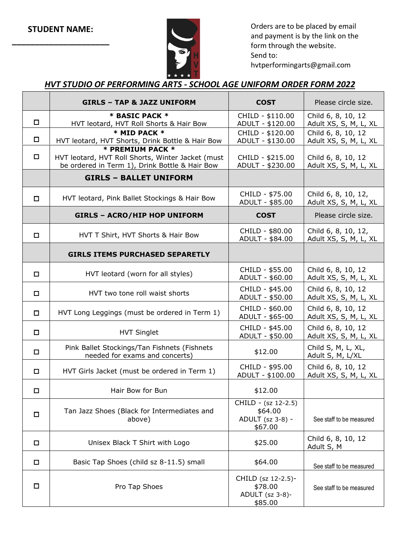

Orders are to be placed by email and payment is by the link on the form through the website. Send to:

hvtperformingarts@gmail.com

## *HVT STUDIO OF PERFORMING ARTS - SCHOOL AGE UNIFORM ORDER FORM 2022*

|        | <b>GIRLS - TAP &amp; JAZZ UNIFORM</b>                                                                                   | <b>COST</b>                                                   | Please circle size.                          |
|--------|-------------------------------------------------------------------------------------------------------------------------|---------------------------------------------------------------|----------------------------------------------|
| $\Box$ | * BASIC PACK *<br>HVT leotard, HVT Roll Shorts & Hair Bow                                                               | CHILD - \$110.00<br>ADULT - \$120.00                          | Child 6, 8, 10, 12<br>Adult XS, S, M, L, XL  |
| $\Box$ | * MID PACK *<br>HVT leotard, HVT Shorts, Drink Bottle & Hair Bow                                                        | CHILD - \$120.00<br>ADULT - \$130.00                          | Child 6, 8, 10, 12<br>Adult XS, S, M, L, XL  |
| □      | * PREMIUM PACK *<br>HVT leotard, HVT Roll Shorts, Winter Jacket (must<br>be ordered in Term 1), Drink Bottle & Hair Bow | CHILD - \$215.00<br>ADULT - \$230.00                          | Child 6, 8, 10, 12<br>Adult XS, S, M, L, XL  |
|        | <b>GIRLS - BALLET UNIFORM</b>                                                                                           |                                                               |                                              |
| $\Box$ | HVT leotard, Pink Ballet Stockings & Hair Bow                                                                           | CHILD - \$75.00<br>ADULT - \$85.00                            | Child 6, 8, 10, 12,<br>Adult XS, S, M, L, XL |
|        | <b>GIRLS - ACRO/HIP HOP UNIFORM</b>                                                                                     | <b>COST</b>                                                   | Please circle size.                          |
| $\Box$ | HVT T Shirt, HVT Shorts & Hair Bow                                                                                      | CHILD - \$80.00<br>ADULT - \$84.00                            | Child 6, 8, 10, 12,<br>Adult XS, S, M, L, XL |
|        | <b>GIRLS ITEMS PURCHASED SEPARETLY</b>                                                                                  |                                                               |                                              |
| $\Box$ | HVT leotard (worn for all styles)                                                                                       | CHILD - \$55.00<br>ADULT - \$60.00                            | Child 6, 8, 10, 12<br>Adult XS, S, M, L, XL  |
| $\Box$ | HVT two tone roll waist shorts                                                                                          | CHILD - \$45.00<br>ADULT - \$50.00                            | Child 6, 8, 10, 12<br>Adult XS, S, M, L, XL  |
| $\Box$ | HVT Long Leggings (must be ordered in Term 1)                                                                           | CHILD - \$60.00<br>ADULT - \$65-00                            | Child 6, 8, 10, 12<br>Adult XS, S, M, L, XL  |
| $\Box$ | <b>HVT Singlet</b>                                                                                                      | CHILD - \$45.00<br>ADULT - \$50.00                            | Child 6, 8, 10, 12<br>Adult XS, S, M, L, XL  |
| $\Box$ | Pink Ballet Stockings/Tan Fishnets (Fishnets<br>needed for exams and concerts)                                          | \$12.00                                                       | Child S, M, L, XL,<br>Adult S, M, L/XL       |
| $\Box$ | HVT Girls Jacket (must be ordered in Term 1)                                                                            | CHILD - \$95.00<br>ADULT - \$100.00                           | Child 6, 8, 10, 12<br>Adult XS, S, M, L, XL  |
| П      | Hair Bow for Bun                                                                                                        | \$12.00                                                       |                                              |
| $\Box$ | Tan Jazz Shoes (Black for Intermediates and<br>above)                                                                   | CHILD - (sz 12-2.5)<br>\$64.00<br>ADULT (sz 3-8) -<br>\$67.00 | See staff to be measured                     |
| $\Box$ | Unisex Black T Shirt with Logo                                                                                          | \$25.00                                                       | Child 6, 8, 10, 12<br>Adult S, M             |
| □      | Basic Tap Shoes (child sz 8-11.5) small                                                                                 | \$64.00                                                       | See staff to be measured                     |
| $\Box$ | Pro Tap Shoes                                                                                                           | CHILD (sz 12-2.5)-<br>\$78.00<br>ADULT (sz 3-8)-<br>\$85.00   | See staff to be measured                     |